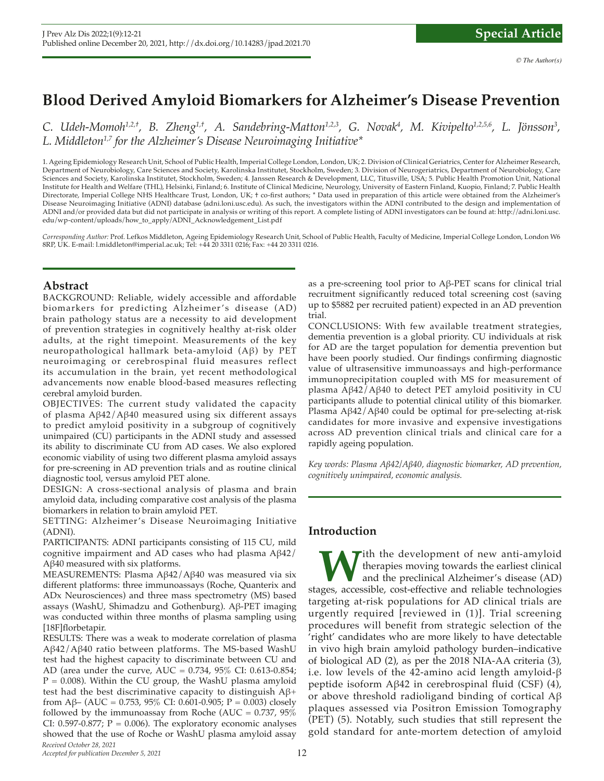# **Blood Derived Amyloid Biomarkers for Alzheimer's Disease Prevention**

C. Udeh-Momoh<sup>1,2,†</sup>, B. Zheng<sup>1,†</sup>, A. Sandebring-Matton<sup>1,2,3</sup>, G. Novak<sup>4</sup>, M. Kivipelto<sup>1,2,5,6</sup>, L. Jönsson<sup>3</sup>, *L. Middleton1,7 for the Alzheimer's Disease Neuroimaging Initiative\**

1. Ageing Epidemiology Research Unit, School of Public Health, Imperial College London, London, UK; 2. Division of Clinical Geriatrics, Center for Alzheimer Research, Department of Neurobiology, Care Sciences and Society, Karolinska Institutet, Stockholm, Sweden; 3. Division of Neurogeriatrics, Department of Neurobiology, Care Sciences and Society, Karolinska Institutet, Stockholm, Sweden; 4. Janssen Research & Development, LLC, Titusville, USA; 5. Public Health Promotion Unit, National Institute for Health and Welfare (THL), Helsinki, Finland; 6. Institute of Clinical Medicine, Neurology, University of Eastern Finland, Kuopio, Finland; 7. Public Health Directorate, Imperial College NHS Healthcare Trust, London, UK; † co-frst authors; \* Data used in preparation of this article were obtained from the Alzheimer's Disease Neuroimaging Initiative (ADNI) database (adni.loni.usc.edu). As such, the investigators within the ADNI contributed to the design and implementation of ADNI and/or provided data but did not participate in analysis or writing of this report. A complete listing of ADNI investigators can be found at: http://adni.loni.usc. edu/wp-content/uploads/how\_to\_apply/ADNI\_Acknowledgement\_List.pdf

*Corresponding Author:* Prof. Lefkos Middleton, Ageing Epidemiology Research Unit, School of Public Health, Faculty of Medicine, Imperial College London, London W6 8RP, UK. E-mail: l.middleton@imperial.ac.uk; Tel: +44 20 3311 0216; Fax: +44 20 3311 0216.

## **Abstract**

BACKGROUND: Reliable, widely accessible and affordable biomarkers for predicting Alzheimer's disease (AD) brain pathology status are a necessity to aid development of prevention strategies in cognitively healthy at-risk older adults, at the right timepoint. Measurements of the key neuropathological hallmark beta-amyloid (Aβ) by PET neuroimaging or cerebrospinal fluid measures reflect its accumulation in the brain, yet recent methodological advancements now enable blood-based measures reflecting cerebral amyloid burden.

OBJECTIVES: The current study validated the capacity of plasma Aβ42/Aβ40 measured using six different assays to predict amyloid positivity in a subgroup of cognitively unimpaired (CU) participants in the ADNI study and assessed its ability to discriminate CU from AD cases. We also explored economic viability of using two different plasma amyloid assays for pre-screening in AD prevention trials and as routine clinical diagnostic tool, versus amyloid PET alone.

DESIGN: A cross-sectional analysis of plasma and brain amyloid data, including comparative cost analysis of the plasma biomarkers in relation to brain amyloid PET.

SETTING: Alzheimer 's Disease Neuroimaging Initiative (ADNI).

PARTICIPANTS: ADNI participants consisting of 115 CU, mild cognitive impairment and AD cases who had plasma Aβ42/ Aβ40 measured with six platforms.

MEASUREMENTS: Plasma Aβ42/Aβ40 was measured via six different platforms: three immunoassays (Roche, Quanterix and ADx Neurosciences) and three mass spectrometry (MS) based assays (WashU, Shimadzu and Gothenburg). Aβ-PET imaging was conducted within three months of plasma sampling using [18F]florbetapir.

*Received October 28, 2021* RESULTS: There was a weak to moderate correlation of plasma Aβ42/Aβ40 ratio between platforms. The MS-based WashU test had the highest capacity to discriminate between CU and AD (area under the curve, AUC = 0.734, 95% CI: 0.613-0.854;  $P = 0.008$ ). Within the CU group, the WashU plasma amyloid test had the best discriminative capacity to distinguish  $A\beta$ + from A $\beta$ – (AUC = 0.753, 95% CI: 0.601-0.905; P = 0.003) closely followed by the immunoassay from Roche (AUC =  $0.737$ ,  $95\%$ ) CI: 0.597-0.877;  $P = 0.006$ ). The exploratory economic analyses showed that the use of Roche or WashU plasma amyloid assay

*Accepted for publication December 5, 2021*

as a pre-screening tool prior to Aβ-PET scans for clinical trial recruitment significantly reduced total screening cost (saving up to \$5882 per recruited patient) expected in an AD prevention trial.

CONCLUSIONS: With few available treatment strategies, dementia prevention is a global priority. CU individuals at risk for AD are the target population for dementia prevention but have been poorly studied. Our findings confirming diagnostic value of ultrasensitive immunoassays and high-performance immunoprecipitation coupled with MS for measurement of plasma Aβ42/Aβ40 to detect PET amyloid positivity in CU participants allude to potential clinical utility of this biomarker. Plasma Aβ42/Aβ40 could be optimal for pre-selecting at-risk candidates for more invasive and expensive investigations across AD prevention clinical trials and clinical care for a rapidly ageing population.

*Key words: Plasma Aβ42/Aβ40, diagnostic biomarker, AD prevention, cognitively unimpaired, economic analysis.*

# **Introduction**

**W**ith the development of new anti-amyloid<br>therapies moving towards the earliest clinical<br>and the preclinical Alzheimer's disease (AD)<br>ges. accessible. cost-effective and reliable technologies therapies moving towards the earliest clinical and the preclinical Alzheimer's disease (AD) stages, accessible, cost-effective and reliable technologies targeting at-risk populations for AD clinical trials are urgently required [reviewed in (1)]. Trial screening procedures will benefit from strategic selection of the 'right' candidates who are more likely to have detectable in vivo high brain amyloid pathology burden–indicative of biological AD (2), as per the 2018 NIA-AA criteria (3), i.e. low levels of the 42-amino acid length amyloid-β peptide isoform Aβ42 in cerebrospinal fluid (CSF) (4), or above threshold radioligand binding of cortical Aβ plaques assessed via Positron Emission Tomography (PET) (5). Notably, such studies that still represent the gold standard for ante-mortem detection of amyloid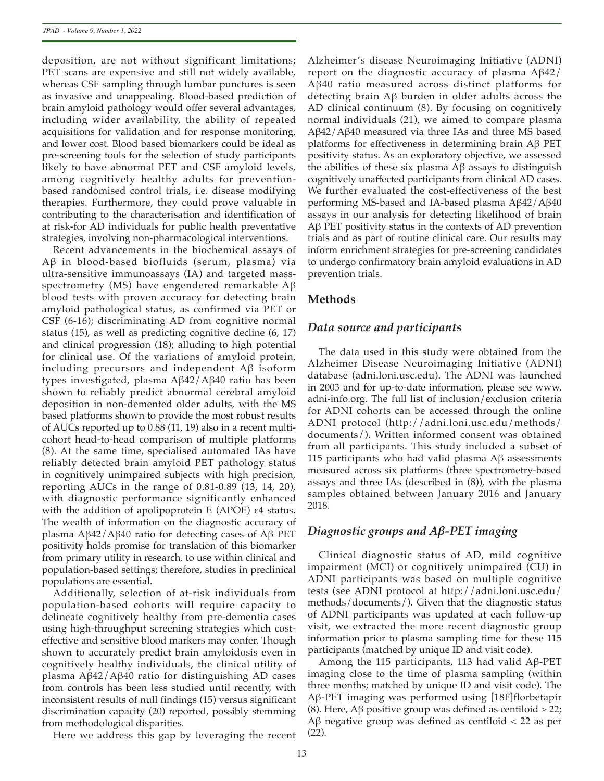deposition, are not without significant limitations; PET scans are expensive and still not widely available, whereas CSF sampling through lumbar punctures is seen as invasive and unappealing. Blood-based prediction of brain amyloid pathology would offer several advantages, including wider availability, the ability of repeated acquisitions for validation and for response monitoring, and lower cost. Blood based biomarkers could be ideal as pre-screening tools for the selection of study participants likely to have abnormal PET and CSF amyloid levels, among cognitively healthy adults for preventionbased randomised control trials, i.e. disease modifying therapies. Furthermore, they could prove valuable in contributing to the characterisation and identification of at risk-for AD individuals for public health preventative strategies, involving non-pharmacological interventions.

Recent advancements in the biochemical assays of Aβ in blood-based biofluids (serum, plasma) via ultra-sensitive immunoassays (IA) and targeted massspectrometry (MS) have engendered remarkable Aβ blood tests with proven accuracy for detecting brain amyloid pathological status, as confirmed via PET or CSF (6-16); discriminating AD from cognitive normal status (15), as well as predicting cognitive decline (6, 17) and clinical progression (18); alluding to high potential for clinical use. Of the variations of amyloid protein, including precursors and independent Aβ isoform types investigated, plasma Aβ42/Aβ40 ratio has been shown to reliably predict abnormal cerebral amyloid deposition in non-demented older adults, with the MS based platforms shown to provide the most robust results of AUCs reported up to 0.88 (11, 19) also in a recent multicohort head-to-head comparison of multiple platforms (8). At the same time, specialised automated IAs have reliably detected brain amyloid PET pathology status in cognitively unimpaired subjects with high precision, reporting AUCs in the range of 0.81-0.89 (13, 14, 20), with diagnostic performance significantly enhanced with the addition of apolipoprotein E (APOE) ε4 status. The wealth of information on the diagnostic accuracy of plasma Aβ42/Aβ40 ratio for detecting cases of Aβ PET positivity holds promise for translation of this biomarker from primary utility in research, to use within clinical and population-based settings; therefore, studies in preclinical populations are essential.

Additionally, selection of at-risk individuals from population-based cohorts will require capacity to delineate cognitively healthy from pre-dementia cases using high-throughput screening strategies which costeffective and sensitive blood markers may confer. Though shown to accurately predict brain amyloidosis even in cognitively healthy individuals, the clinical utility of plasma Aβ42/Aβ40 ratio for distinguishing AD cases from controls has been less studied until recently, with inconsistent results of null findings (15) versus significant discrimination capacity (20) reported, possibly stemming from methodological disparities.

Here we address this gap by leveraging the recent

Alzheimer's disease Neuroimaging Initiative (ADNI) report on the diagnostic accuracy of plasma Aβ42/ Aβ40 ratio measured across distinct platforms for detecting brain Aβ burden in older adults across the AD clinical continuum (8). By focusing on cognitively normal individuals (21), we aimed to compare plasma Aβ42/Aβ40 measured via three IAs and three MS based platforms for effectiveness in determining brain Aβ PET positivity status. As an exploratory objective, we assessed the abilities of these six plasma Aβ assays to distinguish cognitively unaffected participants from clinical AD cases. We further evaluated the cost-effectiveness of the best performing MS-based and IA-based plasma Aβ42/Aβ40 assays in our analysis for detecting likelihood of brain Aβ PET positivity status in the contexts of AD prevention trials and as part of routine clinical care. Our results may inform enrichment strategies for pre-screening candidates to undergo confirmatory brain amyloid evaluations in AD prevention trials.

## **Methods**

## *Data source and participants*

The data used in this study were obtained from the Alzheimer Disease Neuroimaging Initiative (ADNI) database (adni.loni.usc.edu). The ADNI was launched in 2003 and for up-to-date information, please see www. adni-info.org. The full list of inclusion/exclusion criteria for ADNI cohorts can be accessed through the online ADNI protocol (http://adni.loni.usc.edu/methods/ documents/). Written informed consent was obtained from all participants. This study included a subset of 115 participants who had valid plasma Aβ assessments measured across six platforms (three spectrometry-based assays and three IAs (described in (8)), with the plasma samples obtained between January 2016 and January 2018.

## *Diagnostic groups and Aβ-PET imaging*

Clinical diagnostic status of AD, mild cognitive impairment (MCI) or cognitively unimpaired (CU) in ADNI participants was based on multiple cognitive tests (see ADNI protocol at http://adni.loni.usc.edu/ methods/documents/). Given that the diagnostic status of ADNI participants was updated at each follow-up visit, we extracted the more recent diagnostic group information prior to plasma sampling time for these 115 participants (matched by unique ID and visit code).

Among the 115 participants, 113 had valid Aβ-PET imaging close to the time of plasma sampling (within three months; matched by unique ID and visit code). The Aβ-PET imaging was performed using [18F]florbetapir (8). Here, Aβ positive group was defined as centiloid ≥ 22; Aβ negative group was defined as centiloid < 22 as per (22).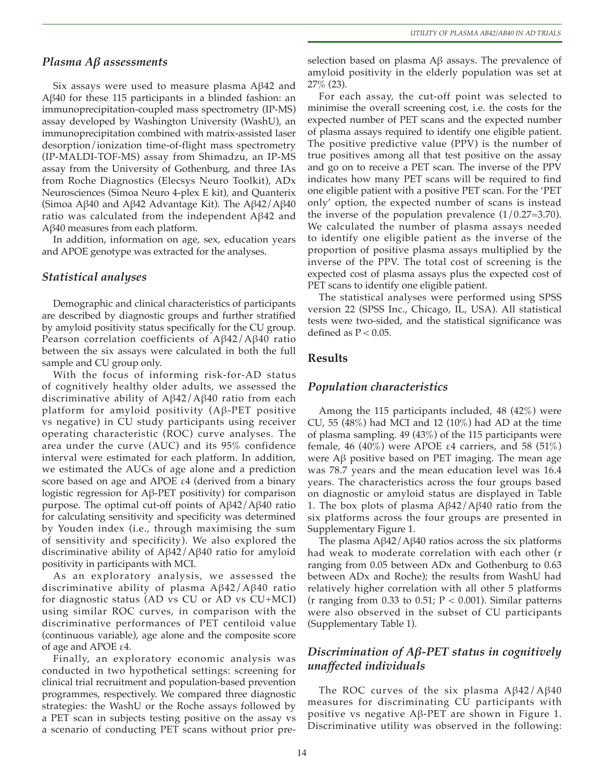#### *Plasma Aβ assessments*

Six assays were used to measure plasma Aβ42 and Aβ40 for these 115 participants in a blinded fashion: an immunoprecipitation-coupled mass spectrometry (IP-MS) assay developed by Washington University (WashU), an immunoprecipitation combined with matrix-assisted laser desorption/ionization time-of-flight mass spectrometry (IP-MALDI-TOF-MS) assay from Shimadzu, an IP-MS assay from the University of Gothenburg, and three IAs from Roche Diagnostics (Elecsys Neuro Toolkit), ADx Neurosciences (Simoa Neuro 4-plex E kit), and Quanterix (Simoa Aβ40 and Aβ42 Advantage Kit). The Aβ42/Aβ40 ratio was calculated from the independent Aβ42 and Aβ40 measures from each platform.

In addition, information on age, sex, education years and APOE genotype was extracted for the analyses.

#### *Statistical analyses*

Demographic and clinical characteristics of participants are described by diagnostic groups and further stratified by amyloid positivity status specifically for the CU group. Pearson correlation coefficients of Aβ42/Aβ40 ratio between the six assays were calculated in both the full sample and CU group only.

With the focus of informing risk-for-AD status of cognitively healthy older adults, we assessed the discriminative ability of Aβ42/Aβ40 ratio from each platform for amyloid positivity (Aβ-PET positive vs negative) in CU study participants using receiver operating characteristic (ROC) curve analyses. The area under the curve (AUC) and its 95% confidence interval were estimated for each platform. In addition, we estimated the AUCs of age alone and a prediction score based on age and APOE ε4 (derived from a binary logistic regression for Aβ-PET positivity) for comparison purpose. The optimal cut-off points of Aβ42/Aβ40 ratio for calculating sensitivity and specificity was determined by Youden index (i.e., through maximising the sum of sensitivity and specificity). We also explored the discriminative ability of Aβ42/Aβ40 ratio for amyloid positivity in participants with MCI.

As an exploratory analysis, we assessed the discriminative ability of plasma Aβ42/Aβ40 ratio for diagnostic status (AD vs CU or AD vs CU+MCI) using similar ROC curves, in comparison with the discriminative performances of PET centiloid value (continuous variable), age alone and the composite score of age and APOE ε4.

Finally, an exploratory economic analysis was conducted in two hypothetical settings: screening for clinical trial recruitment and population-based prevention programmes, respectively. We compared three diagnostic strategies: the WashU or the Roche assays followed by a PET scan in subjects testing positive on the assay vs a scenario of conducting PET scans without prior pre-

selection based on plasma Aβ assays. The prevalence of amyloid positivity in the elderly population was set at 27% (23).

For each assay, the cut-off point was selected to minimise the overall screening cost, i.e. the costs for the expected number of PET scans and the expected number of plasma assays required to identify one eligible patient. The positive predictive value (PPV) is the number of true positives among all that test positive on the assay and go on to receive a PET scan. The inverse of the PPV indicates how many PET scans will be required to find one eligible patient with a positive PET scan. For the 'PET only' option, the expected number of scans is instead the inverse of the population prevalence  $(1/0.27=3.70)$ . We calculated the number of plasma assays needed to identify one eligible patient as the inverse of the proportion of positive plasma assays multiplied by the inverse of the PPV. The total cost of screening is the expected cost of plasma assays plus the expected cost of PET scans to identify one eligible patient.

The statistical analyses were performed using SPSS version 22 (SPSS Inc., Chicago, IL, USA). All statistical tests were two-sided, and the statistical significance was defined as  $P < 0.05$ .

## **Results**

#### *Population characteristics*

Among the 115 participants included, 48 (42%) were CU, 55 (48%) had MCI and 12 (10%) had AD at the time of plasma sampling. 49 (43%) of the 115 participants were female, 46 (40%) were APOE ε4 carriers, and 58 (51%) were Aβ positive based on PET imaging. The mean age was 78.7 years and the mean education level was 16.4 years. The characteristics across the four groups based on diagnostic or amyloid status are displayed in Table 1. The box plots of plasma  $A\beta42/A\beta40$  ratio from the six platforms across the four groups are presented in Supplementary Figure 1.

The plasma Aβ42/Aβ40 ratios across the six platforms had weak to moderate correlation with each other (r ranging from 0.05 between ADx and Gothenburg to 0.63 between ADx and Roche); the results from WashU had relatively higher correlation with all other 5 platforms (r ranging from 0.33 to 0.51;  $P < 0.001$ ). Similar patterns were also observed in the subset of CU participants (Supplementary Table 1).

# *Discrimination of Aβ-PET status in cognitively unaffected individuals*

The ROC curves of the six plasma  $A\beta 42/A\beta 40$ measures for discriminating CU participants with positive vs negative Aβ-PET are shown in Figure 1. Discriminative utility was observed in the following: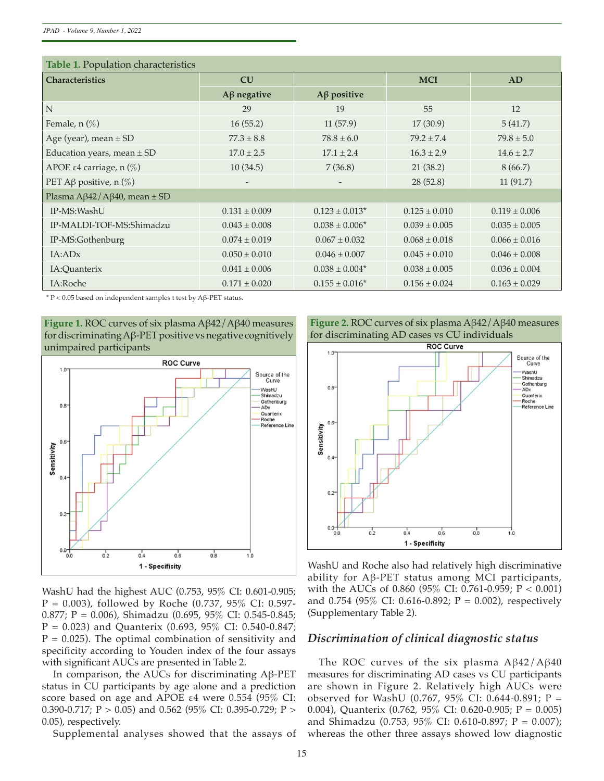*JPAD - Volume 9, Number 1, 2022*

| Table 1. Population characteristics         |                   |                                |                   |                   |  |  |
|---------------------------------------------|-------------------|--------------------------------|-------------------|-------------------|--|--|
| <b>Characteristics</b>                      | CU                |                                | <b>MCI</b>        | AD                |  |  |
|                                             | $A\beta$ negative | $A\beta$ positive              |                   |                   |  |  |
| N                                           | 29                | 19                             | 55                | 12                |  |  |
| Female, $n$ $(\%)$                          | 16(55.2)          | 11(57.9)                       | 17(30.9)          | 5(41.7)           |  |  |
| Age (year), mean $\pm$ SD                   | $77.3 \pm 8.8$    | $78.8 \pm 6.0$                 | $79.2 + 7.4$      | $79.8 \pm 5.0$    |  |  |
| Education years, mean $\pm$ SD              | $17.0 \pm 2.5$    | $17.1 \pm 2.4$                 | $16.3 \pm 2.9$    | $14.6 \pm 2.7$    |  |  |
| APOE ε4 carriage, n $(\%)$                  | 10(34.5)          | 7(36.8)                        | 21(38.2)          | 8(66.7)           |  |  |
| PET A $\beta$ positive, n $(\%)$            | $\qquad \qquad -$ |                                | 28(52.8)          | 11(91.7)          |  |  |
| Plasma A $\beta$ 42/A $\beta$ 40, mean ± SD |                   |                                |                   |                   |  |  |
| IP-MS:WashU                                 | $0.131 \pm 0.009$ | $0.123 \pm 0.013$ <sup>*</sup> | $0.125 \pm 0.010$ | $0.119 \pm 0.006$ |  |  |
| IP-MALDI-TOF-MS:Shimadzu                    | $0.043 \pm 0.008$ | $0.038 \pm 0.006*$             | $0.039 \pm 0.005$ | $0.035 \pm 0.005$ |  |  |
| IP-MS:Gothenburg                            | $0.074 \pm 0.019$ | $0.067 \pm 0.032$              | $0.068 \pm 0.018$ | $0.066 \pm 0.016$ |  |  |
| IA:ADx                                      | $0.050 \pm 0.010$ | $0.046 \pm 0.007$              | $0.045 \pm 0.010$ | $0.046 \pm 0.008$ |  |  |
| IA:Quanterix                                | $0.041 \pm 0.006$ | $0.038 \pm 0.004*$             | $0.038 \pm 0.005$ | $0.036 \pm 0.004$ |  |  |
| IA:Roche                                    | $0.171 \pm 0.020$ | $0.155 \pm 0.016^*$            | $0.156 \pm 0.024$ | $0.163 \pm 0.029$ |  |  |

\* P < 0.05 based on independent samples t test by Aβ-PET status.

**Figure 1.** ROC curves of six plasma Aβ42/Aβ40 measures for discriminating Aβ-PET positive vs negative cognitively unimpaired participants



WashU had the highest AUC (0.753, 95% CI: 0.601-0.905;  $P = 0.003$ ), followed by Roche (0.737, 95% CI: 0.597-0.877; P = 0.006), Shimadzu (0.695, 95% CI: 0.545-0.845; P = 0.023) and Quanterix (0.693, 95% CI: 0.540-0.847;  $P = 0.025$ ). The optimal combination of sensitivity and specificity according to Youden index of the four assays with significant AUCs are presented in Table 2.

In comparison, the AUCs for discriminating Aβ-PET status in CU participants by age alone and a prediction score based on age and APOE ε4 were 0.554 (95% CI: 0.390-0.717; P > 0.05) and 0.562 (95% CI: 0.395-0.729; P > 0.05), respectively.

Supplemental analyses showed that the assays of

**Figure 2.** ROC curves of six plasma Aβ42/Aβ40 measures for discriminating AD cases vs CU individuals



WashU and Roche also had relatively high discriminative ability for Aβ-PET status among MCI participants, with the AUCs of 0.860 (95% CI: 0.761-0.959; P < 0.001) and 0.754 (95% CI: 0.616-0.892;  $P = 0.002$ ), respectively (Supplementary Table 2).

## *Discrimination of clinical diagnostic status*

The ROC curves of the six plasma  $A\beta 42/A\beta 40$ measures for discriminating AD cases vs CU participants are shown in Figure 2. Relatively high AUCs were observed for WashU (0.767, 95% CI: 0.644-0.891; P = 0.004), Quanterix (0.762, 95% CI: 0.620-0.905; P = 0.005) and Shimadzu (0.753, 95% CI: 0.610-0.897; P = 0.007); whereas the other three assays showed low diagnostic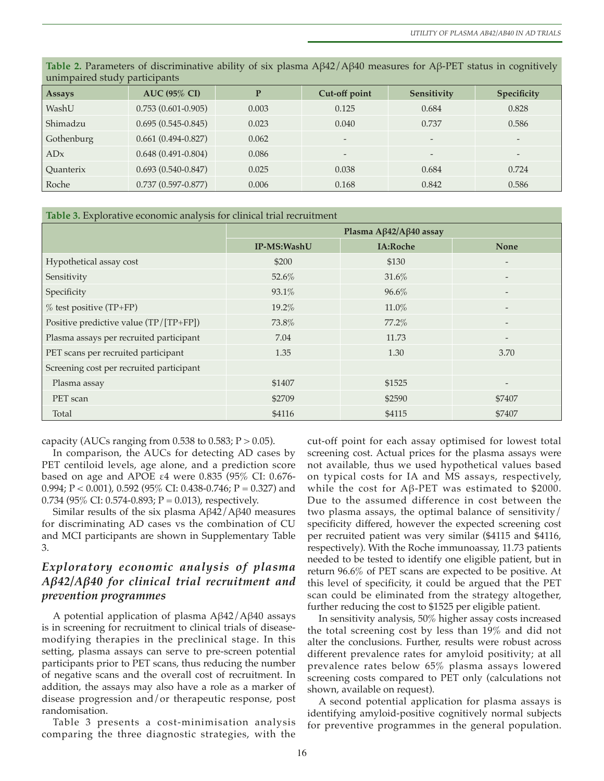| unimpaired study participants |                        |       |                              |                 |                          |  |  |  |
|-------------------------------|------------------------|-------|------------------------------|-----------------|--------------------------|--|--|--|
| <b>Assays</b>                 | <b>AUC (95% CI)</b>    | P     | Cut-off point                | Sensitivity     | Specificity              |  |  |  |
| WashU                         | $0.753(0.601 - 0.905)$ | 0.003 | 0.125                        | 0.684           | 0.828                    |  |  |  |
| Shimadzu                      | $0.695(0.545-0.845)$   | 0.023 | 0.040                        | 0.737           | 0.586                    |  |  |  |
| Gothenburg                    | $0.661(0.494 - 0.827)$ | 0.062 | $\qquad \qquad \blacksquare$ | $\qquad \qquad$ | $\overline{\phantom{a}}$ |  |  |  |
| ADx                           | $0.648(0.491 - 0.804)$ | 0.086 | $\qquad \qquad \blacksquare$ | -               | $\overline{\phantom{a}}$ |  |  |  |
| <b>Ouanterix</b>              | $0.693(0.540-0.847)$   | 0.025 | 0.038                        | 0.684           | 0.724                    |  |  |  |
| Roche                         | $0.737(0.597 - 0.877)$ | 0.006 | 0.168                        | 0.842           | 0.586                    |  |  |  |

**Table 2.** Parameters of discriminative ability of six plasma Aβ42/Aβ40 measures for Aβ-PET status in cognitively

**Table 3.** Explorative economic analysis for clinical trial recruitment

|                                          | Plasma Aβ42/Aβ40 assay |                 |                          |  |
|------------------------------------------|------------------------|-----------------|--------------------------|--|
|                                          | IP-MS:WashU            | <b>IA:Roche</b> | <b>None</b>              |  |
| Hypothetical assay cost                  | \$200                  | \$130           | $\overline{a}$           |  |
| Sensitivity                              | 52.6%                  | 31.6%           | $\overline{\phantom{a}}$ |  |
| Specificity                              | 93.1%                  | 96.6%           | $\overline{\phantom{a}}$ |  |
| % test positive (TP+FP)                  | 19.2%                  | 11.0%           | $\overline{\phantom{a}}$ |  |
| Positive predictive value (TP/[TP+FP])   | 73.8%                  | 77.2%           |                          |  |
| Plasma assays per recruited participant  | 7.04                   | 11.73           | $\overline{\phantom{a}}$ |  |
| PET scans per recruited participant      | 1.35                   | 1.30            | 3.70                     |  |
| Screening cost per recruited participant |                        |                 |                          |  |
| Plasma assay                             | \$1407                 | \$1525          |                          |  |
| PET scan                                 | \$2709                 | \$2590          | \$7407                   |  |
| Total                                    | \$4116                 | \$4115          | \$7407                   |  |

capacity (AUCs ranging from 0.538 to 0.583;  $P > 0.05$ ).

In comparison, the AUCs for detecting AD cases by PET centiloid levels, age alone, and a prediction score based on age and APOE ε4 were 0.835 (95% CI: 0.676- 0.994; P < 0.001), 0.592 (95% CI: 0.438-0.746; P = 0.327) and 0.734 (95% CI: 0.574-0.893;  $P = 0.013$ ), respectively.

Similar results of the six plasma Aβ42/Aβ40 measures for discriminating AD cases vs the combination of CU and MCI participants are shown in Supplementary Table 3.

# *Exploratory economic analysis of plasma Aβ42/Aβ40 for clinical trial recruitment and prevention programmes*

A potential application of plasma Aβ42/Aβ40 assays is in screening for recruitment to clinical trials of diseasemodifying therapies in the preclinical stage. In this setting, plasma assays can serve to pre-screen potential participants prior to PET scans, thus reducing the number of negative scans and the overall cost of recruitment. In addition, the assays may also have a role as a marker of disease progression and/or therapeutic response, post randomisation.

Table 3 presents a cost-minimisation analysis comparing the three diagnostic strategies, with the cut-off point for each assay optimised for lowest total screening cost. Actual prices for the plasma assays were not available, thus we used hypothetical values based on typical costs for IA and MS assays, respectively, while the cost for Aβ-PET was estimated to \$2000. Due to the assumed difference in cost between the two plasma assays, the optimal balance of sensitivity/ specificity differed, however the expected screening cost per recruited patient was very similar (\$4115 and \$4116, respectively). With the Roche immunoassay, 11.73 patients needed to be tested to identify one eligible patient, but in return 96.6% of PET scans are expected to be positive. At this level of specificity, it could be argued that the PET scan could be eliminated from the strategy altogether, further reducing the cost to \$1525 per eligible patient.

In sensitivity analysis, 50% higher assay costs increased the total screening cost by less than 19% and did not alter the conclusions. Further, results were robust across different prevalence rates for amyloid positivity; at all prevalence rates below 65% plasma assays lowered screening costs compared to PET only (calculations not shown, available on request).

A second potential application for plasma assays is identifying amyloid-positive cognitively normal subjects for preventive programmes in the general population.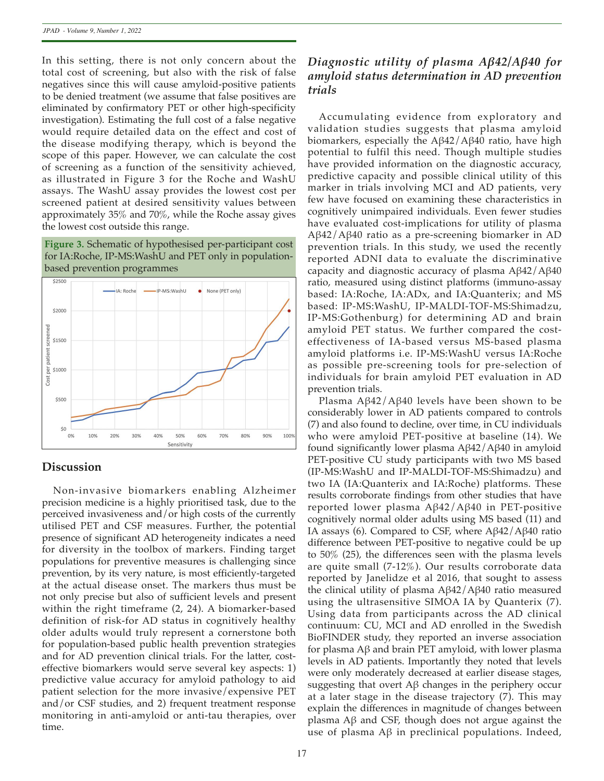In this setting, there is not only concern about the total cost of screening, but also with the risk of false negatives since this will cause amyloid-positive patients to be denied treatment (we assume that false positives are eliminated by confirmatory PET or other high-specificity investigation). Estimating the full cost of a false negative would require detailed data on the effect and cost of the disease modifying therapy, which is beyond the scope of this paper. However, we can calculate the cost of screening as a function of the sensitivity achieved, as illustrated in Figure 3 for the Roche and WashU assays. The WashU assay provides the lowest cost per screened patient at desired sensitivity values between approximately 35% and 70%, while the Roche assay gives the lowest cost outside this range.

#### **Figure 3.** Schematic of hypothesised per-participant cost for IA:Roche, IP-MS:WashU and PET only in populationbased prevention programmes



#### **Discussion**

Non-invasive biomarkers enabling Alzheimer precision medicine is a highly prioritised task, due to the perceived invasiveness and/or high costs of the currently utilised PET and CSF measures. Further, the potential presence of significant AD heterogeneity indicates a need for diversity in the toolbox of markers. Finding target populations for preventive measures is challenging since prevention, by its very nature, is most efficiently-targeted at the actual disease onset. The markers thus must be not only precise but also of sufficient levels and present within the right timeframe (2, 24). A biomarker-based definition of risk-for AD status in cognitively healthy older adults would truly represent a cornerstone both for population-based public health prevention strategies and for AD prevention clinical trials. For the latter, costeffective biomarkers would serve several key aspects: 1) predictive value accuracy for amyloid pathology to aid patient selection for the more invasive/expensive PET and/or CSF studies, and 2) frequent treatment response monitoring in anti-amyloid or anti-tau therapies, over time.

# *Diagnostic utility of plasma Aβ42/Aβ40 for amyloid status determination in AD prevention trials*

Accumulating evidence from exploratory and validation studies suggests that plasma amyloid biomarkers, especially the Aβ42/Aβ40 ratio, have high potential to fulfil this need. Though multiple studies have provided information on the diagnostic accuracy, predictive capacity and possible clinical utility of this marker in trials involving MCI and AD patients, very few have focused on examining these characteristics in cognitively unimpaired individuals. Even fewer studies have evaluated cost-implications for utility of plasma Aβ42/Aβ40 ratio as a pre-screening biomarker in AD prevention trials. In this study, we used the recently reported ADNI data to evaluate the discriminative capacity and diagnostic accuracy of plasma Aβ42/Aβ40 ratio, measured using distinct platforms (immuno-assay based: IA:Roche, IA:ADx, and IA:Quanterix; and MS based: IP-MS:WashU, IP-MALDI-TOF-MS:Shimadzu, IP-MS:Gothenburg) for determining AD and brain amyloid PET status. We further compared the costeffectiveness of IA-based versus MS-based plasma amyloid platforms i.e. IP-MS:WashU versus IA:Roche as possible pre-screening tools for pre-selection of individuals for brain amyloid PET evaluation in AD prevention trials.

Plasma Aβ42/Aβ40 levels have been shown to be considerably lower in AD patients compared to controls (7) and also found to decline, over time, in CU individuals who were amyloid PET-positive at baseline (14). We found significantly lower plasma Aβ42/Aβ40 in amyloid PET-positive CU study participants with two MS based (IP-MS:WashU and IP-MALDI-TOF-MS:Shimadzu) and two IA (IA:Quanterix and IA:Roche) platforms. These results corroborate findings from other studies that have reported lower plasma Aβ42/Aβ40 in PET-positive cognitively normal older adults using MS based (11) and IA assays (6). Compared to CSF, where Aβ42/Aβ40 ratio difference between PET-positive to negative could be up to 50% (25), the differences seen with the plasma levels are quite small (7-12%). Our results corroborate data reported by Janelidze et al 2016, that sought to assess the clinical utility of plasma Aβ42/Aβ40 ratio measured using the ultrasensitive SIMOA IA by Quanterix (7). Using data from participants across the AD clinical continuum: CU, MCI and AD enrolled in the Swedish BioFINDER study, they reported an inverse association for plasma Aβ and brain PET amyloid, with lower plasma levels in AD patients. Importantly they noted that levels were only moderately decreased at earlier disease stages, suggesting that overt Aβ changes in the periphery occur at a later stage in the disease trajectory (7). This may explain the differences in magnitude of changes between plasma Aβ and CSF, though does not argue against the use of plasma Aβ in preclinical populations. Indeed,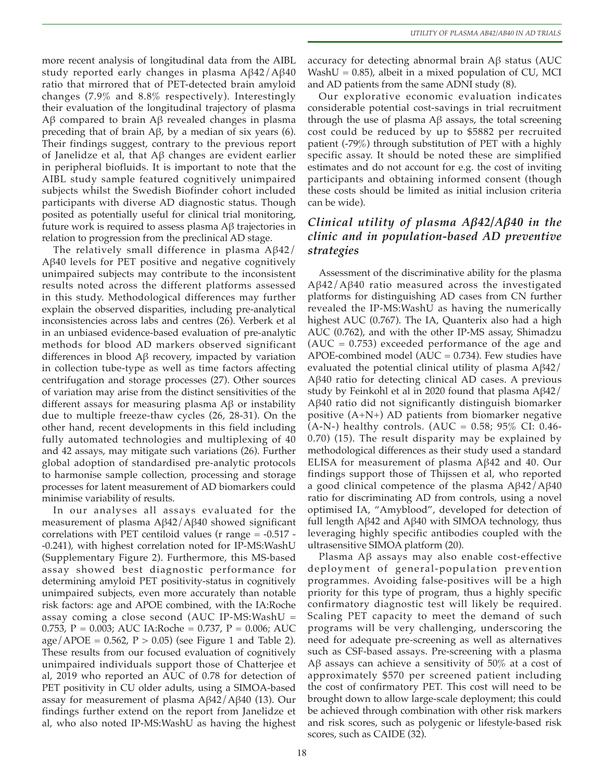more recent analysis of longitudinal data from the AIBL study reported early changes in plasma Aβ42/Aβ40 ratio that mirrored that of PET-detected brain amyloid changes (7.9% and 8.8% respectively). Interestingly their evaluation of the longitudinal trajectory of plasma Aβ compared to brain Aβ revealed changes in plasma preceding that of brain Aβ, by a median of six years (6). Their findings suggest, contrary to the previous report of Janelidze et al, that Aβ changes are evident earlier in peripheral biofluids. It is important to note that the AIBL study sample featured cognitively unimpaired subjects whilst the Swedish Biofinder cohort included participants with diverse AD diagnostic status. Though posited as potentially useful for clinical trial monitoring, future work is required to assess plasma Aβ trajectories in relation to progression from the preclinical AD stage.

The relatively small difference in plasma Aβ42/ Aβ40 levels for PET positive and negative cognitively unimpaired subjects may contribute to the inconsistent results noted across the different platforms assessed in this study. Methodological differences may further explain the observed disparities, including pre-analytical inconsistencies across labs and centres (26). Verberk et al in an unbiased evidence-based evaluation of pre-analytic methods for blood AD markers observed significant differences in blood Aβ recovery, impacted by variation in collection tube-type as well as time factors affecting centrifugation and storage processes (27). Other sources of variation may arise from the distinct sensitivities of the different assays for measuring plasma Aβ or instability due to multiple freeze-thaw cycles (26, 28-31). On the other hand, recent developments in this field including fully automated technologies and multiplexing of 40 and 42 assays, may mitigate such variations (26). Further global adoption of standardised pre-analytic protocols to harmonise sample collection, processing and storage processes for latent measurement of AD biomarkers could minimise variability of results.

In our analyses all assays evaluated for the measurement of plasma Aβ42/Aβ40 showed significant correlations with PET centiloid values ( $r$  range  $= -0.517$  --0.241), with highest correlation noted for IP-MS:WashU (Supplementary Figure 2). Furthermore, this MS-based assay showed best diagnostic performance for determining amyloid PET positivity-status in cognitively unimpaired subjects, even more accurately than notable risk factors: age and APOE combined, with the IA:Roche assay coming a close second (AUC IP-MS:WashU = 0.753, P = 0.003; AUC IA:Roche = 0.737, P = 0.006; AUC age/APOE =  $0.562$ , P >  $0.05$ ) (see Figure 1 and Table 2). These results from our focused evaluation of cognitively unimpaired individuals support those of Chatterjee et al, 2019 who reported an AUC of 0.78 for detection of PET positivity in CU older adults, using a SIMOA-based assay for measurement of plasma Aβ42/Aβ40 (13). Our findings further extend on the report from Janelidze et al, who also noted IP-MS:WashU as having the highest

accuracy for detecting abnormal brain Aβ status (AUC WashU =  $0.85$ ), albeit in a mixed population of CU, MCI and AD patients from the same ADNI study (8).

Our explorative economic evaluation indicates considerable potential cost-savings in trial recruitment through the use of plasma Aβ assays, the total screening cost could be reduced by up to \$5882 per recruited patient (-79%) through substitution of PET with a highly specific assay. It should be noted these are simplified estimates and do not account for e.g. the cost of inviting participants and obtaining informed consent (though these costs should be limited as initial inclusion criteria can be wide).

# *Clinical utility of plasma Aβ42/Aβ40 in the clinic and in population-based AD preventive strategies*

Assessment of the discriminative ability for the plasma Aβ42/Aβ40 ratio measured across the investigated platforms for distinguishing AD cases from CN further revealed the IP-MS:WashU as having the numerically highest AUC (0.767). The IA, Quanterix also had a high AUC (0.762), and with the other IP-MS assay, Shimadzu  $(AUC = 0.753)$  exceeded performance of the age and APOE-combined model ( $AUC = 0.734$ ). Few studies have evaluated the potential clinical utility of plasma Aβ42/ Aβ40 ratio for detecting clinical AD cases. A previous study by Feinkohl et al in 2020 found that plasma Aβ42/ Aβ40 ratio did not significantly distinguish biomarker positive (A+N+) AD patients from biomarker negative (A-N-) healthy controls. (AUC =  $0.58$ ; 95% CI: 0.46-0.70) (15). The result disparity may be explained by methodological differences as their study used a standard ELISA for measurement of plasma Aβ42 and 40. Our findings support those of Thijssen et al, who reported a good clinical competence of the plasma Aβ42/Aβ40 ratio for discriminating AD from controls, using a novel optimised IA, "Amyblood", developed for detection of full length Aβ42 and Aβ40 with SIMOA technology, thus leveraging highly specific antibodies coupled with the ultrasensitive SIMOA platform (20).

Plasma Aβ assays may also enable cost-effective deployment of general-population prevention programmes. Avoiding false-positives will be a high priority for this type of program, thus a highly specific confirmatory diagnostic test will likely be required. Scaling PET capacity to meet the demand of such programs will be very challenging, underscoring the need for adequate pre-screening as well as alternatives such as CSF-based assays. Pre-screening with a plasma Aβ assays can achieve a sensitivity of 50% at a cost of approximately \$570 per screened patient including the cost of confirmatory PET. This cost will need to be brought down to allow large-scale deployment; this could be achieved through combination with other risk markers and risk scores, such as polygenic or lifestyle-based risk scores, such as CAIDE (32).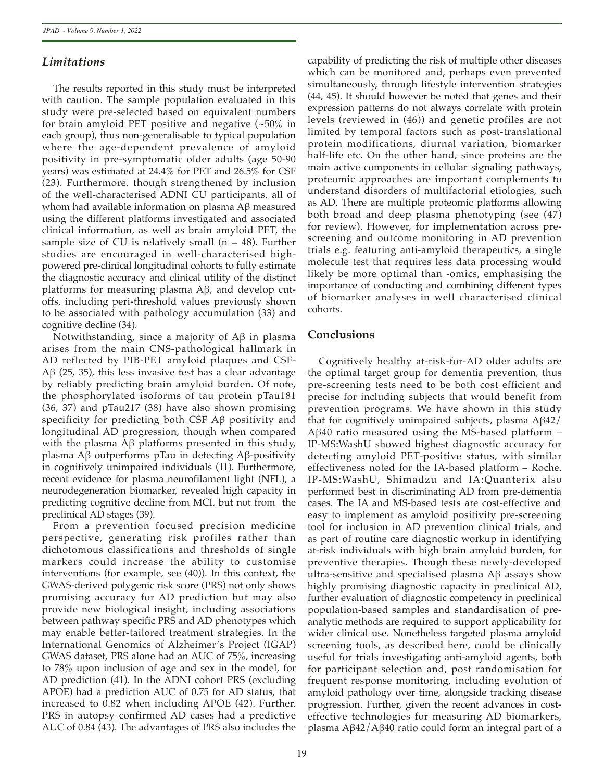# *Limitations*

The results reported in this study must be interpreted with caution. The sample population evaluated in this study were pre-selected based on equivalent numbers for brain amyloid PET positive and negative (~50% in each group), thus non-generalisable to typical population where the age-dependent prevalence of amyloid positivity in pre-symptomatic older adults (age 50-90 years) was estimated at 24.4% for PET and 26.5% for CSF (23). Furthermore, though strengthened by inclusion of the well-characterised ADNI CU participants, all of whom had available information on plasma Aβ measured using the different platforms investigated and associated clinical information, as well as brain amyloid PET, the sample size of CU is relatively small  $(n = 48)$ . Further studies are encouraged in well-characterised highpowered pre-clinical longitudinal cohorts to fully estimate the diagnostic accuracy and clinical utility of the distinct platforms for measuring plasma Aβ, and develop cutoffs, including peri-threshold values previously shown to be associated with pathology accumulation (33) and cognitive decline (34).

Notwithstanding, since a majority of Aβ in plasma arises from the main CNS-pathological hallmark in AD reflected by PIB-PET amyloid plaques and CSF-Aβ (25, 35), this less invasive test has a clear advantage by reliably predicting brain amyloid burden. Of note, the phosphorylated isoforms of tau protein pTau181 (36, 37) and pTau217 (38) have also shown promising specificity for predicting both CSF Aβ positivity and longitudinal AD progression, though when compared with the plasma Aβ platforms presented in this study, plasma Aβ outperforms pTau in detecting Aβ-positivity in cognitively unimpaired individuals (11). Furthermore, recent evidence for plasma neurofilament light (NFL), a neurodegeneration biomarker, revealed high capacity in predicting cognitive decline from MCI, but not from the preclinical AD stages (39).

From a prevention focused precision medicine perspective, generating risk profiles rather than dichotomous classifications and thresholds of single markers could increase the ability to customise interventions (for example, see (40)). In this context, the GWAS-derived polygenic risk score (PRS) not only shows promising accuracy for AD prediction but may also provide new biological insight, including associations between pathway specific PRS and AD phenotypes which may enable better-tailored treatment strategies. In the International Genomics of Alzheimer's Project (IGAP) GWAS dataset, PRS alone had an AUC of 75%, increasing to 78% upon inclusion of age and sex in the model, for AD prediction (41). In the ADNI cohort PRS (excluding APOE) had a prediction AUC of 0.75 for AD status, that increased to 0.82 when including APOE (42). Further, PRS in autopsy confirmed AD cases had a predictive AUC of 0.84 (43). The advantages of PRS also includes the

which can be monitored and, perhaps even prevented simultaneously, through lifestyle intervention strategies (44, 45). It should however be noted that genes and their expression patterns do not always correlate with protein levels (reviewed in (46)) and genetic profiles are not limited by temporal factors such as post-translational protein modifications, diurnal variation, biomarker half-life etc. On the other hand, since proteins are the main active components in cellular signaling pathways, proteomic approaches are important complements to understand disorders of multifactorial etiologies, such as AD. There are multiple proteomic platforms allowing both broad and deep plasma phenotyping (see (47) for review). However, for implementation across prescreening and outcome monitoring in AD prevention trials e.g. featuring anti-amyloid therapeutics, a single molecule test that requires less data processing would likely be more optimal than -omics, emphasising the importance of conducting and combining different types of biomarker analyses in well characterised clinical cohorts.

capability of predicting the risk of multiple other diseases

# **Conclusions**

Cognitively healthy at-risk-for-AD older adults are the optimal target group for dementia prevention, thus pre-screening tests need to be both cost efficient and precise for including subjects that would benefit from prevention programs. We have shown in this study that for cognitively unimpaired subjects, plasma  $A\beta 42$ / Aβ40 ratio measured using the MS-based platform – IP-MS:WashU showed highest diagnostic accuracy for detecting amyloid PET-positive status, with similar effectiveness noted for the IA-based platform – Roche. IP-MS:WashU, Shimadzu and IA:Quanterix also performed best in discriminating AD from pre-dementia cases. The IA and MS-based tests are cost-effective and easy to implement as amyloid positivity pre-screening tool for inclusion in AD prevention clinical trials, and as part of routine care diagnostic workup in identifying at-risk individuals with high brain amyloid burden, for preventive therapies. Though these newly-developed ultra-sensitive and specialised plasma Aβ assays show highly promising diagnostic capacity in preclinical AD, further evaluation of diagnostic competency in preclinical population-based samples and standardisation of preanalytic methods are required to support applicability for wider clinical use. Nonetheless targeted plasma amyloid screening tools, as described here, could be clinically useful for trials investigating anti-amyloid agents, both for participant selection and, post randomisation for frequent response monitoring, including evolution of amyloid pathology over time, alongside tracking disease progression. Further, given the recent advances in costeffective technologies for measuring AD biomarkers, plasma Aβ42/Aβ40 ratio could form an integral part of a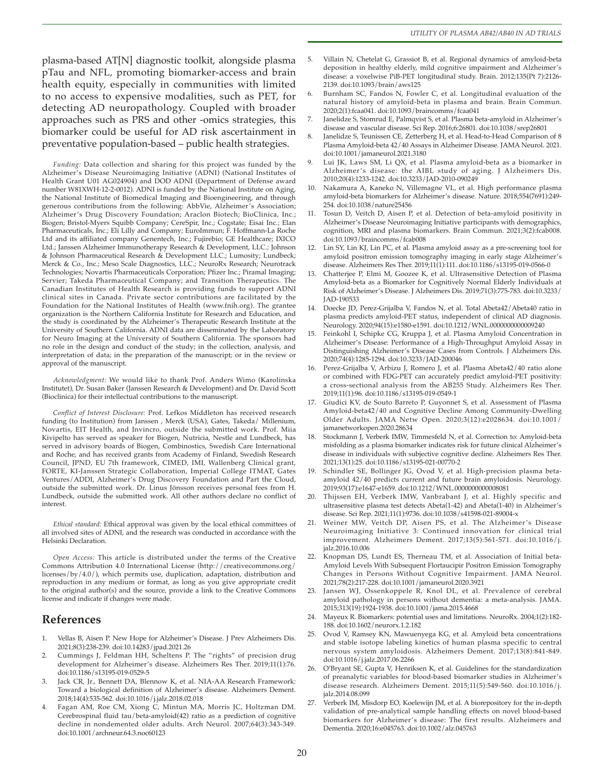plasma-based AT[N] diagnostic toolkit, alongside plasma pTau and NFL, promoting biomarker-access and brain health equity, especially in communities with limited to no access to expensive modalities, such as PET, for detecting AD neuropathology. Coupled with broader approaches such as PRS and other -omics strategies, this biomarker could be useful for AD risk ascertainment in preventative population-based – public health strategies.

*Funding:* Data collection and sharing for this project was funded by the Alzheimer's Disease Neuroimaging Initiative (ADNI) (National Institutes of Health Grant U01 AG024904) and DOD ADNI (Department of Defense award number W81XWH-12-2-0012). ADNI is funded by the National Institute on Aging, the National Institute of Biomedical Imaging and Bioengineering, and through generous contributions from the following: AbbVie, Alzheimer's Association; Alzheimer's Drug Discovery Foundation; Araclon Biotech; BioClinica, Inc.; Biogen; Bristol-Myers Squibb Company; CereSpir, Inc.; Cogstate; Eisai Inc.; Elan Pharmaceuticals, Inc.; Eli Lilly and Company; EuroImmun; F. Hoffmann-La Roche Ltd and its affiliated company Genentech, Inc.; Fujirebio; GE Healthcare; IXICO Ltd.; Janssen Alzheimer Immunotherapy Research & Development, LLC.; Johnson & Johnson Pharmaceutical Research & Development LLC.; Lumosity; Lundbeck; Merck & Co., Inc.; Meso Scale Diagnostics, LLC.; NeuroRx Research; Neurotrack Technologies; Novartis Pharmaceuticals Corporation; Pfizer Inc.; Piramal Imaging; Servier; Takeda Pharmaceutical Company; and Transition Therapeutics. The Canadian Institutes of Health Research is providing funds to support ADNI clinical sites in Canada. Private sector contributions are facilitated by the Foundation for the National Institutes of Health (www.fnih.org). The grantee organization is the Northern California Institute for Research and Education, and the study is coordinated by the Alzheimer's Therapeutic Research Institute at the University of Southern California. ADNI data are disseminated by the Laboratory for Neuro Imaging at the University of Southern California. The sponsors had no role in the design and conduct of the study; in the collection, analysis, and interpretation of data; in the preparation of the manuscript; or in the review or approval of the manuscript.

*Acknowledgment:* We would like to thank Prof. Anders Wimo (Karolinska Institutet), Dr. Susan Baker (Janssen Research & Development) and Dr. David Scott (Bioclinica) for their intellectual contributions to the manuscript.

*Conflict of Interest Disclosure:* Prof. Lefkos Middleton has received research funding (to Institution) from Janssen , Merck (USA), Gates, Takeda/ Millenium, Novartis, EIT Health, and Invincro, outside the submitted work. Prof. Miia Kivipelto has served as speaker for Biogen, Nutricia, Nestle and Lundbeck, has served in advisory boards of Biogen, Combinostics, Swedish Care International and Roche, and has received grants from Academy of Finland, Swedish Research Council, JPND, EU 7th framework, CIMED, IMI, Wallenberg Clinical grant, FORTE, KI-Janssen Strategic Collaboration, Imperial College ITMAT, Gates Ventures/ADDI, Alzheimer's Drug Discovery Foundation and Part the Cloud, outside the submitted work. Dr. Linus Jönsson receives personal fees from H. Lundbeck, outside the submitted work. All other authors declare no conflict of interest.

*Ethical standard:* Ethical approval was given by the local ethical committees of all involved sites of ADNI, and the research was conducted in accordance with the Helsinki Declaration.

*Open Access:* This article is distributed under the terms of the Creative Commons Attribution 4.0 International License (http://creativecommons.org/ licenses/by/4.0/), which permits use, duplication, adaptation, distribution and reproduction in any medium or format, as long as you give appropriate credit to the original author(s) and the source, provide a link to the Creative Commons license and indicate if changes were made.

## **References**

- 1. Vellas B, Aisen P. New Hope for Alzheimer's Disease. J Prev Alzheimers Dis. 2021;8(3):238-239. doi:10.14283/jpad.2021.26
- 2. Cummings J, Feldman HH, Scheltens P. The "rights" of precision drug development for Alzheimer's disease. Alzheimers Res Ther. 2019;11(1):76. doi:10.1186/s13195-019-0529-5
- Jack CR, Jr., Bennett DA, Blennow K, et al. NIA-AA Research Framework: Toward a biological definition of Alzheimer's disease. Alzheimers Dement. 2018;14(4):535-562. doi:10.1016/j.jalz.2018.02.018
- 4. Fagan AM, Roe CM, Xiong C, Mintun MA, Morris JC, Holtzman DM. Cerebrospinal fluid tau/beta-amyloid(42) ratio as a prediction of cognitive decline in nondemented older adults. Arch Neurol. 2007;64(3):343-349. doi:10.1001/archneur.64.3.noc60123
- 5. Villain N, Chetelat G, Grassiot B, et al. Regional dynamics of amyloid-beta deposition in healthy elderly, mild cognitive impairment and Alzheimer's disease: a voxelwise PiB-PET longitudinal study. Brain. 2012;135(Pt 7):2126- 2139. doi:10.1093/brain/aws125
- Burnham SC, Fandos N, Fowler C, et al. Longitudinal evaluation of the natural history of amyloid-beta in plasma and brain. Brain Commun. 2020;2(1):fcaa041. doi:10.1093/braincomms/fcaa041
- Janelidze S, Stomrud E, Palmqvist S, et al. Plasma beta-amyloid in Alzheimer's disease and vascular disease. Sci Rep. 2016;6:26801. doi:10.1038/srep26801
- 8. Janelidze S, Teunissen CE, Zetterberg H, et al. Head-to-Head Comparison of 8 Plasma Amyloid-beta 42/40 Assays in Alzheimer Disease. JAMA Neurol. 2021. doi:10.1001/jamaneurol.2021.3180
- 9. Lui JK, Laws SM, Li QX, et al. Plasma amyloid-beta as a biomarker in Alzheimer's disease: the AIBL study of aging. J Alzheimers Dis. 2010;20(4):1233-1242. doi:10.3233/JAD-2010-090249
- 10. Nakamura A, Kaneko N, Villemagne VL, et al. High performance plasma amyloid-beta biomarkers for Alzheimer's disease. Nature. 2018;554(7691):249- 254. doi:10.1038/nature25456
- 11. Tosun D, Veitch D, Aisen P, et al. Detection of beta-amyloid positivity in Alzheimer's Disease Neuroimaging Initiative participants with demographics, cognition, MRI and plasma biomarkers. Brain Commun. 2021;3(2):fcab008. doi:10.1093/braincomms/fcab008
- Lin SY, Lin KJ, Lin PC, et al. Plasma amyloid assay as a pre-screening tool for amyloid positron emission tomography imaging in early stage Alzheimer's disease. Alzheimers Res Ther. 2019;11(1):111. doi:10.1186/s13195-019-0566-0
- 13. Chatterjee P, Elmi M, Goozee K, et al. Ultrasensitive Detection of Plasma Amyloid-beta as a Biomarker for Cognitively Normal Elderly Individuals at Risk of Alzheimer's Disease. J Alzheimers Dis. 2019;71(3):775-783. doi:10.3233/ JAD-190533
- 14. Doecke JD, Perez-Grijalba V, Fandos N, et al. Total Abeta42/Abeta40 ratio in plasma predicts amyloid-PET status, independent of clinical AD diagnosis. Neurology. 2020;94(15):e1580-e1591. doi:10.1212/WNL.0000000000009240
- 15. Feinkohl I, Schipke CG, Kruppa J, et al. Plasma Amyloid Concentration in Alzheimer's Disease: Performance of a High-Throughput Amyloid Assay in Distinguishing Alzheimer's Disease Cases from Controls. J Alzheimers Dis. 2020;74(4):1285-1294. doi:10.3233/JAD-200046
- 16. Perez-Grijalba V, Arbizu J, Romero J, et al. Plasma Abeta42/40 ratio alone or combined with FDG-PET can accurately predict amyloid-PET positivity: a cross-sectional analysis from the AB255 Study. Alzheimers Res Ther. 2019;11(1):96. doi:10.1186/s13195-019-0549-1
- 17. Giudici KV, de Souto Barreto P, Guyonnet S, et al. Assessment of Plasma Amyloid-beta42/40 and Cognitive Decline Among Community-Dwelling Older Adults. JAMA Netw Open. 2020;3(12):e2028634. doi:10.1001/ jamanetworkopen.2020.28634
- 18. Stockmann J, Verberk IMW, Timmesfeld N, et al. Correction to: Amyloid-beta misfolding as a plasma biomarker indicates risk for future clinical Alzheimer's disease in individuals with subjective cognitive decline. Alzheimers Res Ther. 2021;13(1):25. doi:10.1186/s13195-021-00770-2
- Schindler SE, Bollinger JG, Ovod V, et al. High-precision plasma betaamyloid 42/40 predicts current and future brain amyloidosis. Neurology. 2019;93(17):e1647-e1659. doi:10.1212/WNL.0000000000008081
- 20. Thijssen EH, Verberk IMW, Vanbrabant J, et al. Highly specific and ultrasensitive plasma test detects Abeta(1-42) and Abeta(1-40) in Alzheimer's disease. Sci Rep. 2021;11(1):9736. doi:10.1038/s41598-021-89004-x
- 21. Weiner MW, Veitch DP, Aisen PS, et al. The Alzheimer's Disease Neuroimaging Initiative 3: Continued innovation for clinical trial improvement. Alzheimers Dement. 2017;13(5):561-571. doi:10.1016/j. jalz.2016.10.006
- Knopman DS, Lundt ES, Therneau TM, et al. Association of Initial beta-Amyloid Levels With Subsequent Flortaucipir Positron Emission Tomography Changes in Persons Without Cognitive Impairment. JAMA Neurol. 2021;78(2):217-228. doi:10.1001/jamaneurol.2020.3921
- Jansen WJ, Ossenkoppele R, Knol DL, et al. Prevalence of cerebral amyloid pathology in persons without dementia: a meta-analysis. JAMA. 2015;313(19):1924-1938. doi:10.1001/jama.2015.4668
- 24. Mayeux R. Biomarkers: potential uses and limitations. NeuroRx. 2004;1(2):182- 188. doi:10.1602/neurorx.1.2.182
- 25. Ovod V, Ramsey KN, Mawuenyega KG, et al. Amyloid beta concentrations and stable isotope labeling kinetics of human plasma specific to central nervous system amyloidosis. Alzheimers Dement. 2017;13(8):841-849. doi:10.1016/j.jalz.2017.06.2266
- 26. O'Bryant SE, Gupta V, Henriksen K, et al. Guidelines for the standardization of preanalytic variables for blood-based biomarker studies in Alzheimer's disease research. Alzheimers Dement. 2015;11(5):549-560. doi:10.1016/j. jalz.2014.08.099
- Verberk IM, Misdorp EO, Koelewijn JM, et al. A biorepository for the in-depth validation of pre-analytical sample handling effects on novel blood-based biomarkers for Alzheimer's disease: The first results. Alzheimers and Dementia. 2020;16:e045763. doi:10.1002/alz.045763